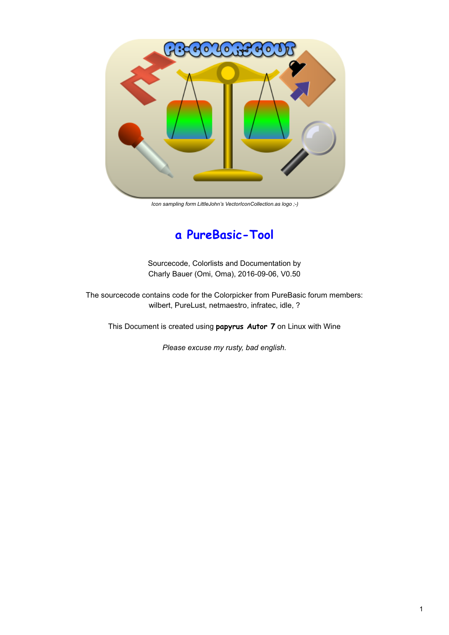

*Icon sampling form LittleJohn's VectorIconCollection.as logo ;-)*

# **a PureBasic-Tool**

Sourcecode, Colorlists and Documentation by Charly Bauer (Omi, Oma), 2016-09-06, V0.50

The sourcecode contains code for the Colorpicker from PureBasic forum members: wilbert, PureLust, netmaestro, infratec, idle, ?

This Document is created using **papyrus Autor 7** on Linux with Wine

*Please excuse my rusty, bad english.*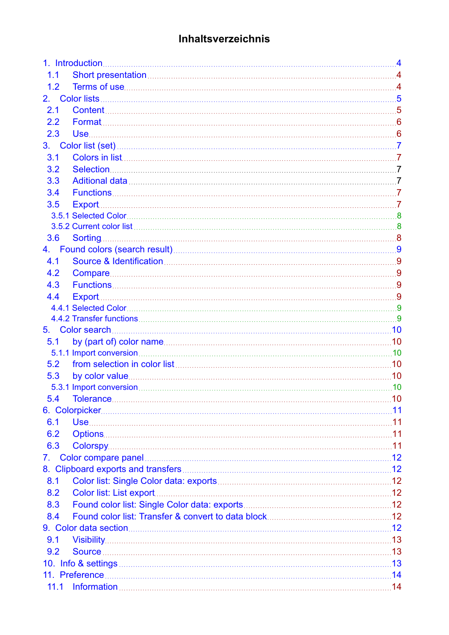# **Inhaltsverzeichnis**

| 1.1              |                                                                                                                                                                                                                               |  |
|------------------|-------------------------------------------------------------------------------------------------------------------------------------------------------------------------------------------------------------------------------|--|
| 1.2              |                                                                                                                                                                                                                               |  |
|                  |                                                                                                                                                                                                                               |  |
| 2.1              |                                                                                                                                                                                                                               |  |
| $2.2\phantom{0}$ |                                                                                                                                                                                                                               |  |
| 2.3              |                                                                                                                                                                                                                               |  |
| 3.               |                                                                                                                                                                                                                               |  |
| 3.1              |                                                                                                                                                                                                                               |  |
| 3.2              |                                                                                                                                                                                                                               |  |
| 3.3              |                                                                                                                                                                                                                               |  |
| 3.4              |                                                                                                                                                                                                                               |  |
| 3.5              |                                                                                                                                                                                                                               |  |
|                  |                                                                                                                                                                                                                               |  |
|                  |                                                                                                                                                                                                                               |  |
| 3.6              |                                                                                                                                                                                                                               |  |
| 4.               |                                                                                                                                                                                                                               |  |
| 4.1              |                                                                                                                                                                                                                               |  |
| 4.2              |                                                                                                                                                                                                                               |  |
| 4.3              |                                                                                                                                                                                                                               |  |
| 4.4              |                                                                                                                                                                                                                               |  |
|                  |                                                                                                                                                                                                                               |  |
|                  |                                                                                                                                                                                                                               |  |
| 5.               |                                                                                                                                                                                                                               |  |
| 5.1              |                                                                                                                                                                                                                               |  |
|                  |                                                                                                                                                                                                                               |  |
| 5.2              |                                                                                                                                                                                                                               |  |
| 5.3              |                                                                                                                                                                                                                               |  |
|                  |                                                                                                                                                                                                                               |  |
| 5.4              |                                                                                                                                                                                                                               |  |
|                  |                                                                                                                                                                                                                               |  |
| 6.1              |                                                                                                                                                                                                                               |  |
| 6.2              |                                                                                                                                                                                                                               |  |
| 6.3              |                                                                                                                                                                                                                               |  |
| 7.               |                                                                                                                                                                                                                               |  |
|                  |                                                                                                                                                                                                                               |  |
| 8.1              |                                                                                                                                                                                                                               |  |
| 8.2              | Color list: List export 2000 and 2000 and 2000 and 2000 and 2000 and 2000 and 2000 and 2000 and 2000 and 2000 and 2000 and 2000 and 2000 and 2000 and 2000 and 2000 and 2000 and 2000 and 2000 and 2000 and 2000 and 2000 and |  |
| 8.3              |                                                                                                                                                                                                                               |  |
| 8.4              |                                                                                                                                                                                                                               |  |
|                  |                                                                                                                                                                                                                               |  |
| 9.1              |                                                                                                                                                                                                                               |  |
| 9.2              |                                                                                                                                                                                                                               |  |
|                  |                                                                                                                                                                                                                               |  |
|                  |                                                                                                                                                                                                                               |  |
| 11.1             |                                                                                                                                                                                                                               |  |
|                  |                                                                                                                                                                                                                               |  |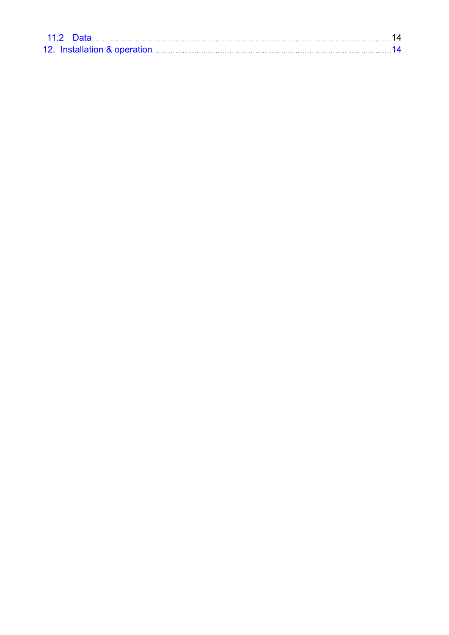| <b>11.2 Data</b> |  |
|------------------|--|
|                  |  |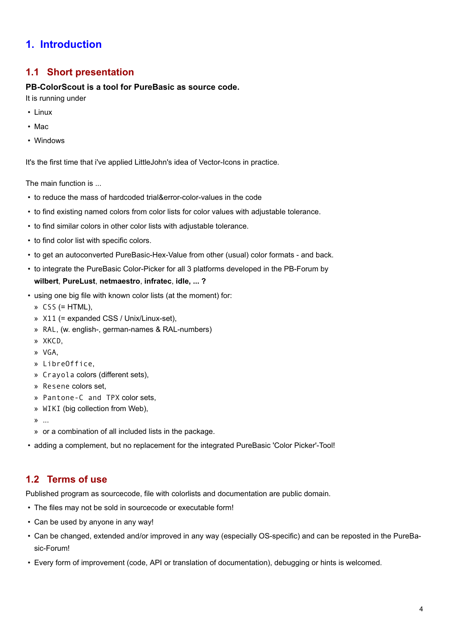## <span id="page-3-0"></span>**1. Introduction**

## **1.1 Short presentation**

#### **PB-ColorScout is a tool for PureBasic as source code.**

It is running under

- Linux
- Mac
- Windows

It's the first time that i've applied LittleJohn's idea of Vector-Icons in practice.

The main function is ...

- to reduce the mass of hardcoded trial&error-color-values in the code
- to find existing named colors from color lists for color values with adjustable tolerance.
- to find similar colors in other color lists with adjustable tolerance.
- to find color list with specific colors.
- to get an autoconverted PureBasic-Hex-Value from other (usual) color formats and back.
- to integrate the PureBasic Color-Picker for all 3 platforms developed in the PB-Forum by **wilbert**, **PureLust**, **netmaestro**, **infratec**, **idle, ... ?**
- using one big file with known color lists (at the moment) for:
	- » CSS (= HTML),
	- » X11 (= expanded CSS / Unix/Linux-set),
	- » RAL, (w. english-, german-names & RAL-numbers)
	- » XKCD,
	- » VGA,
	- » LibreOffice,
	- » Crayola colors (different sets),
	- » Resene colors set,
	- » Pantone-C and TPX color sets,
	- » WIKI (big collection from Web),
	- » ...
	- » or a combination of all included lists in the package.
- adding a complement, but no replacement for the integrated PureBasic 'Color Picker'-Tool!

### **1.2 Terms of use**

Published program as sourcecode, file with colorlists and documentation are public domain.

- The files may not be sold in sourcecode or executable form!
- Can be used by anyone in any way!
- Can be changed, extended and/or improved in any way (especially OS-specific) and can be reposted in the PureBasic-Forum!
- Every form of improvement (code, API or translation of documentation), debugging or hints is welcomed.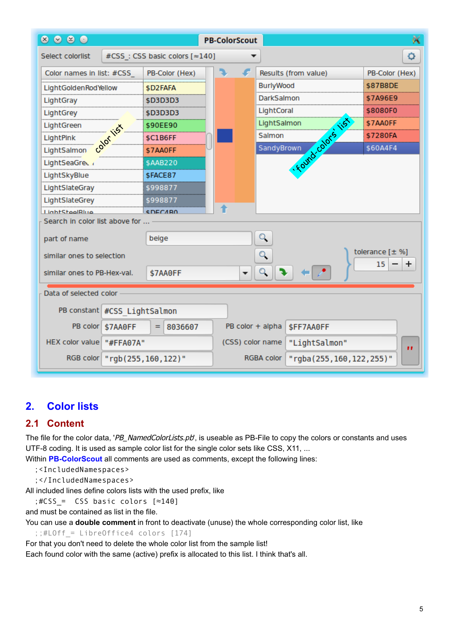<span id="page-4-0"></span>

| $\bullet$ $\bullet$ $\bullet$<br>$\circledast$ |          |                                   |  |    | <b>PB-ColorScout</b> |                      |                  |                |     |                         |   |
|------------------------------------------------|----------|-----------------------------------|--|----|----------------------|----------------------|------------------|----------------|-----|-------------------------|---|
| Select colorlist                               |          | #CSS: CSS basic colors [~140]     |  |    |                      |                      |                  |                |     |                         | ٥ |
| Color names in list: #CSS                      |          | PB-Color (Hex)                    |  | a. |                      | Results (from value) |                  |                |     | PB-Color (Hex)          |   |
| LightGoldenRodYellow                           |          | \$D2FAFA                          |  |    |                      | <b>BurlyWood</b>     |                  |                |     | \$87B8DE                |   |
| LightGray                                      |          | \$D3D3D3                          |  |    |                      | DarkSalmon           |                  |                |     | \$7A96E9                |   |
| LightGrey                                      |          | \$D3D3D3                          |  |    |                      | LightCoral           |                  |                |     | \$8080F0                |   |
| LightGreen                                     |          | \$90EE90                          |  |    |                      | LightSalmon          |                  |                | 115 | \$7AA0FF                |   |
| LightPink                                      | ,o       | \$C1B6FF                          |  |    |                      | Salmon               |                  |                |     | \$7280FA                |   |
| LightSalmon                                    |          | \$7AA0FF                          |  |    |                      | SandyBrown           |                  |                |     | \$60A4F4                |   |
| LightSeaGree                                   |          | \$AAB220                          |  |    |                      |                      |                  | . Fourd calors |     |                         |   |
| LightSkyBlue                                   |          | \$FACE87                          |  |    |                      |                      |                  |                |     |                         |   |
| LightSlateGray                                 |          | \$998877                          |  |    |                      |                      |                  |                |     |                         |   |
| LightSlateGrey                                 |          | \$99887                           |  |    |                      |                      |                  |                |     |                         |   |
| <b>LightSteelRlue</b>                          |          | <b>CDECARO</b>                    |  |    |                      |                      |                  |                |     |                         |   |
| Search in color list above for                 |          |                                   |  |    |                      |                      |                  |                |     |                         |   |
| part of name                                   |          | beige                             |  |    |                      | ्                    |                  |                |     |                         |   |
| similar ones to selection                      |          |                                   |  |    |                      | Q                    |                  |                |     | tolerance $[\pm \%]$    |   |
| similar ones to PB-Hex-val.<br>\$7AA0FF        |          |                                   |  |    | ▼                    | $Q_{\bullet}$        |                  |                |     | 15                      | ÷ |
| Data of selected color                         |          |                                   |  |    |                      |                      |                  |                |     |                         |   |
| PB constant #CSS LightSalmon                   |          |                                   |  |    |                      |                      |                  |                |     |                         |   |
| PB color                                       | \$7AA0FF | $= 8036607$                       |  |    |                      | PB color + alpha     | <b>SFF7AA0FF</b> |                |     |                         |   |
| HEX color value   "#FFA07A"                    |          |                                   |  |    |                      | (CSS) color name     |                  | "LightSalmon"  |     |                         |   |
|                                                |          | RGB color   "rgb (255, 160, 122)" |  |    |                      | RGBA color           |                  |                |     | "rgba(255,160,122,255)" |   |

## **2. Color lists**

## **2.1 Content**

The file for the color data, 'PB\_NamedColorLists.pb', is useable as PB-File to copy the colors or constants and uses UTF-8 coding. It is used as sample color list for the single color sets like CSS, X11, ...

Within **PB-ColorScout** all comments are used as comments, except the following lines:

- ;<IncludedNamespaces>
- ;</IncludedNamespaces>

All included lines define colors lists with the used prefix, like

 $;$ #CSS = CSS basic colors  $[$   $\approx$  140]

and must be contained as list in the file.

You can use a **double comment** in front to deactivate (unuse) the whole corresponding color list, like

 $;$ :#LOff = LibreOffice4 colors [174]

For that you don't need to delete the whole color list from the sample list!

Each found color with the same (active) prefix is allocated to this list. I think that's all.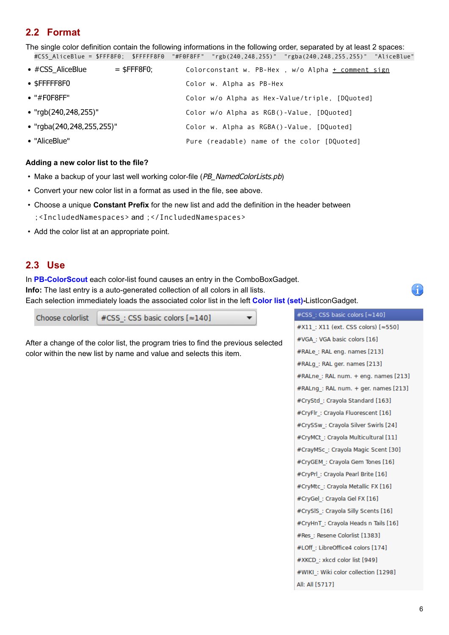## <span id="page-5-0"></span>**2.2 Format**

The single color definition contain the following informations in the following order, separated by at least 2 spaces: #CSS\_AliceBlue = \$FFF8F0; \$FFFFF8F0 "#F0F8FF" "rgb(240,248,255)" "rgba(240,248,255,255)" "AliceBlue"

| $\bullet$ #CSS AliceBlue  | $=$ \$FFF8F0: | Colorconstant w. PB-Hex, w/o Alpha + comment sign |
|---------------------------|---------------|---------------------------------------------------|
| $\bullet$ \$FFFFF8F0      |               | Color w. Alpha as PB-Hex                          |
| $\bullet$ "#F0F8FF"       |               | Color w/o Alpha as Hex-Value/triple, [DQuoted]    |
| • "rgb(240,248,255)"      |               | Color w/o Alpha as RGB()-Value, [DQuoted]         |
| • "rgba(240,248,255,255)" |               | Color w. Alpha as RGBA()-Value, [DQuoted]         |
| • "AliceBlue"             |               | Pure (readable) name of the color [DQuoted]       |

#### **Adding a new color list to the file?**

- Make a backup of your last well working color-file (PB\_NamedColorLists.pb)
- Convert your new color list in a format as used in the file, see above.
- Choose a unique **Constant Prefix** for the new list and add the definition in the header between ;<IncludedNamespaces> and ;</IncludedNamespaces>
- Add the color list at an appropriate point.

#### **2.3 Use**

In **PB-ColorScout** each color-list found causes an entry in the ComboBoxGadget.

**Info:** The last entry is a auto-generated collection of all colors in all lists.

Each selection immediately loads the associated color list in the left **[Color list \(set\)](#page-6-0)-**ListIconGadget.

 $\overline{\phantom{a}}$ 

#CSS: CSS basic colors [ ~140] Choose colorlist

After a change of the color list, the program tries to find the previous selected color within the new list by name and value and selects this item.

#CSS: CSS basic colors [  $\approx$  140] #X11: X11 (ext. CSS colors) [ ~ 550] #VGA: VGA basic colors [16] #RALe: RAL eng. names [213] #RALg\_: RAL ger. names [213] #RALne: RAL num. + eng. names [213] #RALng\_: RAL num. + ger. names [213] #CryStd: Crayola Standard [163] #CryFlr: Crayola Fluorescent [16] #CrySSw\_: Crayola Silver Swirls [24] #CryMCt: Crayola Multicultural [11] #CrayMSc\_: Crayola Magic Scent [30] #CryGEM : Crayola Gem Tones [16] #CryPrl : Crayola Pearl Brite [16] #CryMtc\_: Crayola Metallic FX [16] #CryGel\_: Crayola Gel FX [16] #CrySIS : Crayola Silly Scents [16] #CryHnT\_: Crayola Heads n Tails [16] #Res: Resene Colorlist [1383] #LOff: LibreOffice4 colors [174] #XKCD: xkcd color list [949] #WIKI: Wiki color collection [1298] All: All [5717]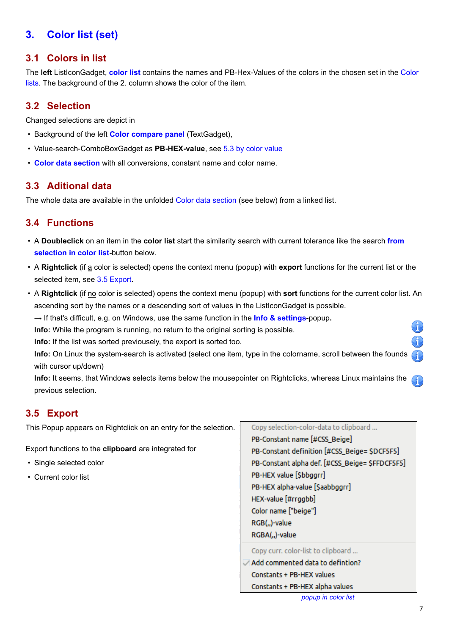# <span id="page-6-0"></span>**3. Color list (set)**

### **3.1 Colors in list**

The **left** ListIconGadget, **color list** contains the names and PB-Hex-Values of the colors in the chosen set in the [Color](#page-4-0) [lists](#page-4-0). The background of the 2. column shows the color of the item.

### **3.2 Selection**

Changed selections are depict in

- Background of the left **[Color compare panel](#page-11-0)** (TextGadget),
- Value-search-ComboBoxGadget as **PB-HEX-value**, see [5.3 by color value](#page-9-0)
- **[Color data section](#page-11-0)** with all conversions, constant name and color name.

### **3.3 Aditional data**

The whole data are available in the unfolded [Color data section](#page-11-0) (see below) from a linked list.

## **3.4 Functions**

- A **Doubleclick** on an item in the **color list** start the similarity search with current tolerance like the search **[from](#page-9-0) [selection in color list-](#page-9-0)**button below.
- A **Rightclick** (if a color is selected) opens the context menu (popup) with **export** functions for the current list or the selected item, see 3.5 Export.
- A **Rightclick** (if no color is selected) opens the context menu (popup) with **sort** functions for the current color list. An ascending sort by the names or a descending sort of values in the ListIconGadget is possible.
	- → If that's difficult, e.g. on Windows, use the same function in the **[Info & settings](#page-12-0)**-popup**.**

**Info:** While the program is running, no return to the original sorting is possible.

**Info:** If the list was sorted previousely, the export is sorted too.

**Info:** On Linux the system-search is activated (select one item, type in the colorname, scroll between the founds with cursor up/down)

**Info:** It seems, that Windows selects items below the mousepointer on Rightclicks, whereas Linux maintains the G previous selection.

## **3.5 Export**

This Popup appears on Rightclick on an entry for the selection.

Export functions to the **clipboard** are integrated for

- Single selected color
- Current color list

Copy selection-color-data to clipboard ... PB-Constant name [#CSS\_Beige] PB-Constant definition [#CSS Beige= SDCF5F5] PB-Constant alpha def. [#CSS\_Beige= \$FFDCF5F5] PB-HEX value [Sbbggrr] PB-HEX alpha-value [\$aabbggrr] HEX-value [#rrggbb] Color name ["beige"] RGB(,,)-value RGBA(,,)-value Copy curr. color-list to clipboard ... Add commented data to defintion? Constants + PB-HEX values

Constants + PB-HEX alpha values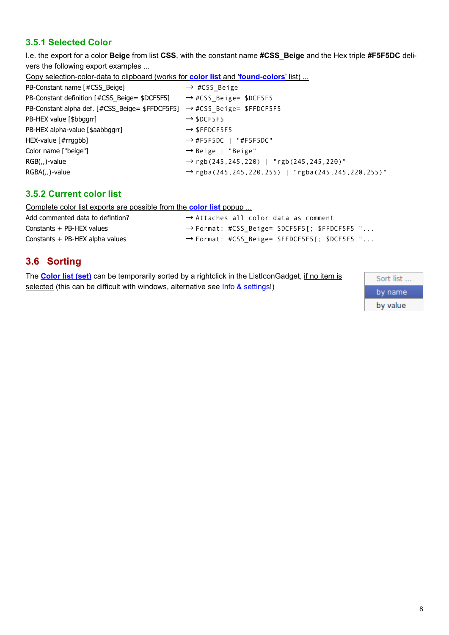### <span id="page-7-0"></span>**3.5.1 Selected Color**

I.e. the export for a color **Beige** from list **CSS**, with the constant name **#CSS\_Beige** and the Hex triple **#F5F5DC** delivers the following export examples ...

Copy selection-color-data to clipboard (works for **color list** and '**found-colors**' list) ...

| PB-Constant name [#CSS_Beige]                                                        | $\rightarrow$ #CSS Beige                                            |
|--------------------------------------------------------------------------------------|---------------------------------------------------------------------|
| PB-Constant definition [#CSS_Beige= \$DCF5F5]                                        | → #CSS_Beige= \$DCF5F5                                              |
| PB-Constant alpha def. [#CSS_Beige= \$FFDCF5F5] $\rightarrow$ #CSS Beige= \$FFDCF5F5 |                                                                     |
| PB-HEX value [\$bbggrr]                                                              | $\rightarrow$ \$DCF5F5                                              |
| PB-HEX alpha-value [\$aabbggrr]                                                      | $\rightarrow$ SFFDCF5F5                                             |
| HEX-value $[#rrggbb]$                                                                | $\rightarrow$ #F5F5DC   "#F5F5DC"                                   |
| Color name ["beige"]                                                                 | $\rightarrow$ Beige   "Beige"                                       |
| RGB(,,)-value                                                                        | $\rightarrow$ rgb(245,245,220)   "rgb(245,245,220)"                 |
| RGBA(,,)-value                                                                       | $\rightarrow$ rgba(245, 245, 220, 255)   "rgba(245, 245, 220, 255)" |
|                                                                                      |                                                                     |

### **3.5.2 Current color list**

Complete color list exports are possible from the **color list** popup ...

| Add commented data to defintion? | $\rightarrow$ Attaches all color data as comment |
|----------------------------------|--------------------------------------------------|
| Constants + PB-HEX values        | → Format: #CSS_Beige= \$DCF5F5[; \$FFDCF5F5 "    |
| Constants + PB-HEX alpha values  | → Format: #CSS_Beige= \$FFDCF5F5[; \$DCF5F5 "    |

## **3.6 Sorting**

The **[Color list \(set\)](#page-6-0)** can be temporarily sorted by a rightclick in the ListIconGadget, if no item is selected (this can be difficult with windows, alternative see [Info & settings!](#page-12-0))

Sort list ... by name by value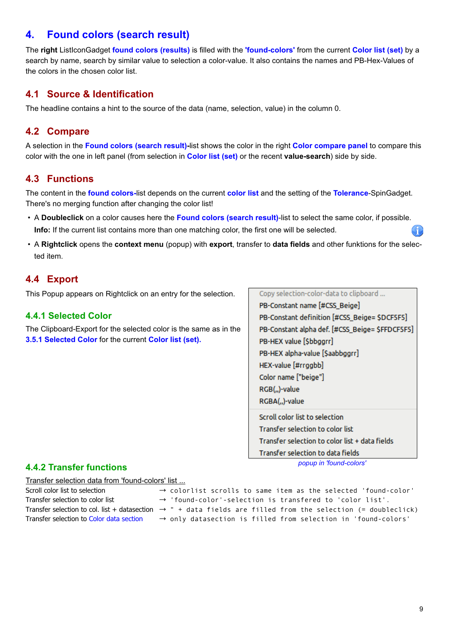## <span id="page-8-0"></span>**4. Found colors (search result)**

The **right** ListIconGadget **found colors (results)** is filled with the **'found-colors'** from the current **[Color list \(set\)](#page-6-0)** by a search by name, search by similar value to selection a color-value. It also contains the names and PB-Hex-Values of the colors in the chosen color list.

## **4.1 Source & Identification**

The headline contains a hint to the source of the data (name, selection, value) in the column 0.

### **4.2 Compare**

A selection in the **Found colors (search result)-**list shows the color in the right **[Color compare panel](#page-11-0)** to compare this color with the one in left panel (from selection in **[Color list \(set\)](#page-6-0)** or the recent **value-search**) side by side.

### **4.3 Functions**

The content in the **found colors-**list depends on the current **color list** and the setting of the **[Tolerance](#page-9-0)**-SpinGadget. There's no merging function after changing the color list!

- A **Doubleclick** on a color causes here the **Found colors (search result)**-list to select the same color, if possible. **Info:** If the current list contains more than one matching color, the first one will be selected.
- A **Rightclick** opens the **context menu** (popup) with **export**, transfer to **data fields** and other funktions for the selected item.

## **4.4 Export**

This Popup appears on Rightclick on an entry for the selection.

#### **4.4.1 Selected Color**

The Clipboard-Export for the selected color is the same as in the **[3.5.1 Selected Color](#page-7-0)** for the current **[Color list \(set\)](#page-6-0).**

Copy selection-color-data to clipboard ...

PB-Constant name [#CSS Beige] PB-Constant definition [#CSS\_Beige= \$DCF5F5] PB-Constant alpha def. [#CSS\_Beige= \$FFDCF5F5] PB-HEX value [Sbbggrr] PB-HEX alpha-value [Saabbggrr] HEX-value [#rrggbb] Color name ["beige"] RGB(,,)-value RGBA(,,)-value Scroll color list to selection Transfer selection to color list Transfer selection to color list + data fields

*popup in 'found-colors'*

Transfer selection to data fields

#### **4.4.2 Transfer functions**

Transfer selection data from 'found-colors' list ...

| Scroll color list to selection           | $\rightarrow$ colorlist scrolls to same item as the selected 'found-color'                                                |
|------------------------------------------|---------------------------------------------------------------------------------------------------------------------------|
| Transfer selection to color list         | $\rightarrow$ 'found-color'-selection is transfered to 'color list'.                                                      |
|                                          | Transfer selection to col. list + datasection $\rightarrow$ " + data fields are filled from the selection (= doubleclick) |
| Transfer selection to Color data section | $\rightarrow$ only datasection is filled from selection in 'found-colors'                                                 |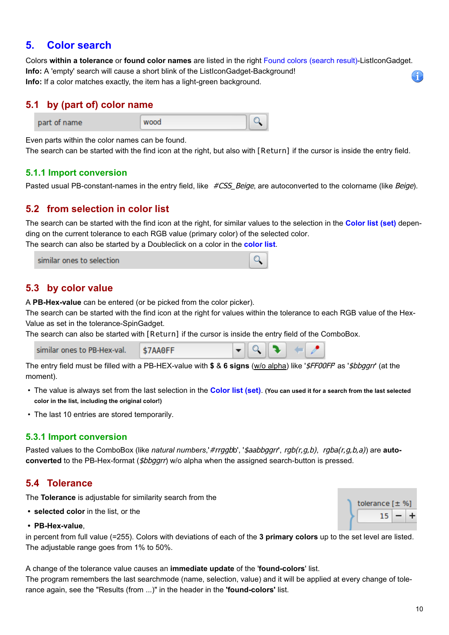## <span id="page-9-0"></span>**5. Color search**

Colors **within a tolerance** or **found color names** are listed in the right [Found colors \(search result\)](#page-8-0)-ListIconGadget. **Info:** A 'empty' search will cause a short blink of the ListIconGadget-Background! **Info:** If a color matches exactly, the item has a light-green background.

### **5.1 by (part of) color name**



Even parts within the color names can be found.

The search can be started with the find icon at the right, but also with **[Return]** if the cursor is inside the entry field.

#### **5.1.1 Import conversion**

Pasted usual PB-constant-names in the entry field, like #CSS\_Beige, are autoconverted to the colorname (like Beige).

### **5.2 from selection in color list**

The search can be started with the find icon at the right, for similar values to the selection in the **[Color list \(set\)](#page-6-0)** depending on the current tolerance to each RGB value (primary color) of the selected color.

The search can also be started by a Doubleclick on a color in the **color list**.

| similar ones to selection |  |
|---------------------------|--|
|                           |  |

### **5.3 by color value**

A **PB-Hex-value** can be entered (or be picked from the color picker).

The search can be started with the find icon at the right for values within the tolerance to each RGB value of the Hex-Value as set in the tolerance-SpinGadget.

The search can also be started with **[Return]** if the cursor is inside the entry field of the ComboBox.

| similar ones to PB-Hex-val. | 57 |  |  |  |  |  |
|-----------------------------|----|--|--|--|--|--|
|-----------------------------|----|--|--|--|--|--|

The entry field must be filled with a PB-HEX-value with **\$** & **6 signs** (w/o alpha) like '\$FF00FF' as '\$bbggrr' (at the moment).

- The value is always set from the last selection in the **[Color list \(set\)](#page-6-0)**. **(You can used it for a search from the last selected color in the list, including the original color!)**
- The last 10 entries are stored temporarily.

#### **5.3.1 Import conversion**

Pasted values to the ComboBox (like *natural numbers, #rrggb*b', '*\$aabbggrr', rgb(r,g,b), rgba(r,g,b,a)*) are **auto**converted to the PB-Hex-format (*\$bbggrr*) w/o alpha when the assigned search-button is pressed.

### **5.4 Tolerance**

The **Tolerance** is adjustable for similarity search from the

**• selected color** in the list, or the

#### **• PB-Hex-value**,

in percent from full value (=255). Colors with deviations of each of the **3 primary colors** up to the set level are listed. The adjustable range goes from 1% to 50%.

A change of the tolerance value causes an **immediate update** of the '**found-colors**' list.

The program remembers the last searchmode (name, selection, value) and it will be applied at every change of tolerance again, see the "Results (from ...)" in the header in the **'found-colors'** list.

tolerance [± %] 15

Ĥ.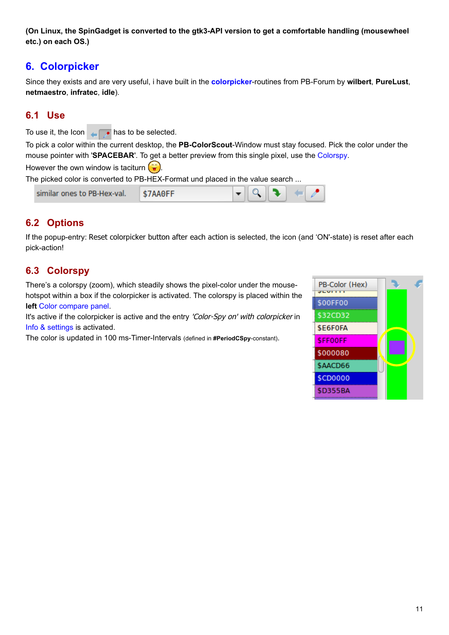<span id="page-10-0"></span>**(On Linux, the SpinGadget is converted to the gtk3-API version to get a comfortable handling (mousewheel etc.) on each OS.)**

## **6. Colorpicker**

Since they exists and are very useful, i have built in the **colorpicker**-routines from PB-Forum by **wilbert**, **PureLust**, **netmaestro**, **infratec**, **idle**).

## **6.1 Use**

To use it, the Icon  $\overline{h}$  has to be selected.

To pick a color within the current desktop, the **PB-ColorScout**-Window must stay focused. Pick the color under the mouse pointer with '**SPACEBAR**'. To get a better preview from this single pixel, use the Colorspy.

However the own window is taciturn  $\left(\widehat{\bullet}\right)$ .

The picked color is converted to PB-HEX-Format und placed in the value search ...

| similar ones to PB-Hex-val. | \$7AA0FF | $\bullet$ 0 1 |  |
|-----------------------------|----------|---------------|--|
|-----------------------------|----------|---------------|--|

## **6.2 Options**

If the popup-entry: Reset colorpicker button after each action is selected, the icon (and 'ON'-state) is reset after each pick-action!

## **6.3 Colorspy**

There's a colorspy (zoom), which steadily shows the pixel-color under the mousehotspot within a box if the colorpicker is activated. The colorspy is placed within the **left** [Color compare panel.](#page-11-0)

It's active if the colorpicker is active and the entry 'Color-Spy on' with colorpicker in [Info & settings](#page-12-0) is activated.

The color is updated in 100 ms-Timer-Intervals (defined in **#PeriodCSpy**-constant).

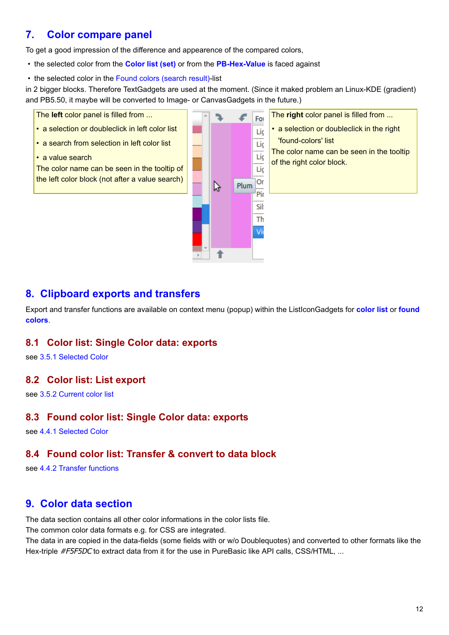## <span id="page-11-0"></span>**7. Color compare panel**

To get a good impression of the difference and appearence of the compared colors,

- the selected color from the **[Color list \(set\)](#page-6-0)** or from the **PB-Hex-Value** is faced against
- the selected color in the [Found colors \(search result\)](#page-8-0)-list

in 2 bigger blocks. Therefore TextGadgets are used at the moment. (Since it maked problem an Linux-KDE (gradient) and PB5.50, it maybe will be converted to Image- or CanvasGadgets in the future.)

The **left** color panel is filled from ... For • a selection or doubleclick in left color list Lic • a search from selection in left color list Lic • a value search Lic The color name can be seen in the tooltip of Lic the left color block (not after a value search)Or Plum ß Pir Sil Th

The **right** color panel is filled from ... • a selection or doubleclick in the right 'found-colors' list The color name can be seen in the tooltip of the right color block.

## **8. Clipboard exports and transfers**

Export and transfer functions are available on context menu (popup) within the ListIconGadgets for **color list** or **found colors**.

Vi

### **8.1 Color list: Single Color data: exports**

see [3.5.1 Selected Color](#page-7-0)

### **8.2 Color list: List export**

see [3.5.2 Current color list](#page-7-0)

### **8.3 Found color list: Single Color data: exports**

see [4.4.1 Selected Color](#page-8-0)

## **8.4 Found color list: Transfer & convert to data block**

see [4.4.2 Transfer functions](#page-8-0)

# **9. Color data section**

The data section contains all other color informations in the color lists file.

The common color data formats e.g. for CSS are integrated.

The data in are copied in the data-fields (some fields with or w/o Doublequotes) and converted to other formats like the Hex-triple #F5F5DC to extract data from it for the use in PureBasic like API calls, CSS/HTML, ...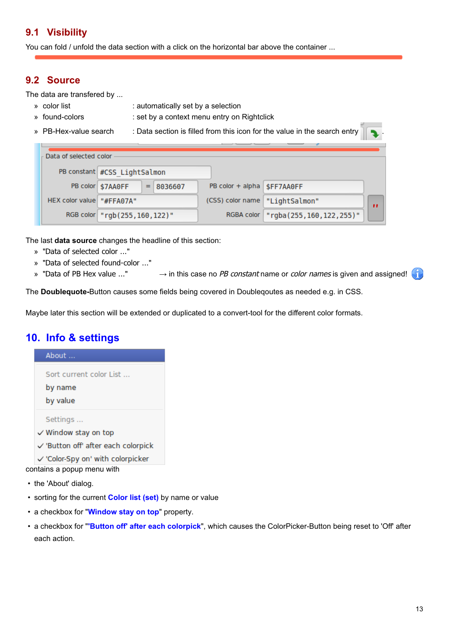## <span id="page-12-0"></span>**9.1 Visibility**

You can fold / unfold the data section with a click on the horizontal bar above the container ...

### **9.2 Source**

The data are transfered by ...

- » color list : automatically set by a selection
- » found-colors : set by a context menu entry on Rightclick
- 

» PB-Hex-value search : Data section is filled from this icon for the value in the search entry

|  | Data of selected color    |                                     |                                  |                         |  |
|--|---------------------------|-------------------------------------|----------------------------------|-------------------------|--|
|  |                           |                                     |                                  |                         |  |
|  |                           | PB constant #CSS LightSalmon        |                                  |                         |  |
|  |                           | PB color \$7AA0FF<br>8036607<br>$=$ | PB color + alpha   \$FF7AA0FF    |                         |  |
|  | HEX color value "#FFA07A" |                                     | (CSS) color name   "LightSalmon" |                         |  |
|  |                           | RGB color   "rgb (255, 160, 122) "  | RGBA color                       | "rgba(255,160,122,255)" |  |

The last **data source** changes the headline of this section:

- » "Data of selected color ..."
- » "Data of selected found-color ..."
- » "Data of PB Hex value ..."  $\rightarrow$  in this case no PB constant name or color names is given and assigned!

The **Doublequote-**Button causes some fields being covered in Doubleqoutes as needed e.g. in CSS.

Maybe later this section will be extended or duplicated to a convert-tool for the different color formats.

## **10. Info & settings**

About ... Sort current color List ... by name by value Settings ...  $\checkmark$  Window stay on top

- √ 'Button off' after each colorpick
- ✓ 'Color-Spy on' with colorpicker

contains a popup menu with

- the 'About' dialog.
- sorting for the current **[Color list \(set\)](#page-6-0)** by name or value
- a checkbox for "**Window stay on top**" property.
- a checkbox for "**'Button off' after each colorpick**", which causes the ColorPicker-Button being reset to 'Off' after each action.